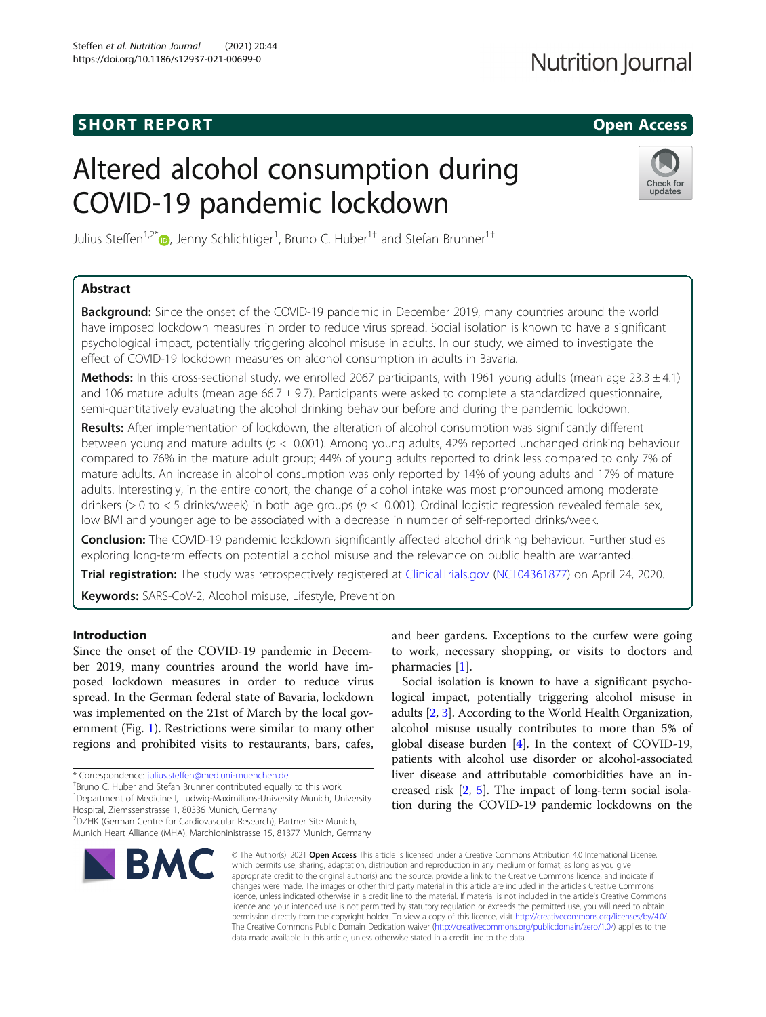# **SHORT REPORT CONTRACT CONTRACT CONTRACT CONTRACT CONTRACT CONTRACT CONTRACT CONTRACT CONTRACT CONTRACT CONTRACT**

# **Nutrition Journal**

# Altered alcohol consumption during COVID-19 pandemic lockdown



Julius Steffen<sup>1,2[\\*](http://orcid.org/0000-0002-8807-7365)</sup>®, Jenny Schlichtiger<sup>1</sup>, Bruno C. Huber<sup>1†</sup> and Stefan Brunner<sup>1†</sup>

# Abstract

**Background:** Since the onset of the COVID-19 pandemic in December 2019, many countries around the world have imposed lockdown measures in order to reduce virus spread. Social isolation is known to have a significant psychological impact, potentially triggering alcohol misuse in adults. In our study, we aimed to investigate the effect of COVID-19 lockdown measures on alcohol consumption in adults in Bavaria.

Methods: In this cross-sectional study, we enrolled 2067 participants, with 1961 young adults (mean age  $23.3 \pm 4.1$ ) and 106 mature adults (mean age 66.7  $\pm$  9.7). Participants were asked to complete a standardized questionnaire, semi-quantitatively evaluating the alcohol drinking behaviour before and during the pandemic lockdown.

Results: After implementation of lockdown, the alteration of alcohol consumption was significantly different between young and mature adults ( $p < 0.001$ ). Among young adults, 42% reported unchanged drinking behaviour compared to 76% in the mature adult group; 44% of young adults reported to drink less compared to only 7% of mature adults. An increase in alcohol consumption was only reported by 14% of young adults and 17% of mature adults. Interestingly, in the entire cohort, the change of alcohol intake was most pronounced among moderate drinkers ( $> 0$  to < 5 drinks/week) in both age groups ( $p < 0.001$ ). Ordinal logistic regression revealed female sex, low BMI and younger age to be associated with a decrease in number of self-reported drinks/week.

Conclusion: The COVID-19 pandemic lockdown significantly affected alcohol drinking behaviour. Further studies exploring long-term effects on potential alcohol misuse and the relevance on public health are warranted.

Trial registration: The study was retrospectively registered at [ClinicalTrials.gov](http://clinicaltrials.gov) [\(NCT04361877](https://clinicaltrials.gov/ct2/show/NCT04361877)) on April 24, 2020.

Keywords: SARS-CoV-2, Alcohol misuse, Lifestyle, Prevention

# Introduction

Since the onset of the COVID-19 pandemic in December 2019, many countries around the world have imposed lockdown measures in order to reduce virus spread. In the German federal state of Bavaria, lockdown was implemented on the 21st of March by the local government (Fig. [1\)](#page-1-0). Restrictions were similar to many other regions and prohibited visits to restaurants, bars, cafes,

\* Correspondence: [julius.steffen@med.uni-muenchen.de](mailto:julius.steffen@med.uni-muenchen.de) †

<sup>†</sup>Bruno C. Huber and Stefan Brunner contributed equally to this work.

<sup>1</sup>Department of Medicine I, Ludwig-Maximilians-University Munich, University

Hospital, Ziemssenstrasse 1, 80336 Munich, Germany

2 DZHK (German Centre for Cardiovascular Research), Partner Site Munich, Munich Heart Alliance (MHA), Marchioninistrasse 15, 81377 Munich, Germany



and beer gardens. Exceptions to the curfew were going to work, necessary shopping, or visits to doctors and pharmacies [\[1](#page-5-0)].

Social isolation is known to have a significant psychological impact, potentially triggering alcohol misuse in adults [\[2](#page-5-0), [3](#page-5-0)]. According to the World Health Organization, alcohol misuse usually contributes to more than 5% of global disease burden [\[4](#page-5-0)]. In the context of COVID-19, patients with alcohol use disorder or alcohol-associated liver disease and attributable comorbidities have an increased risk [[2,](#page-5-0) [5](#page-5-0)]. The impact of long-term social isolation during the COVID-19 pandemic lockdowns on the

© The Author(s), 2021 **Open Access** This article is licensed under a Creative Commons Attribution 4.0 International License, which permits use, sharing, adaptation, distribution and reproduction in any medium or format, as long as you give appropriate credit to the original author(s) and the source, provide a link to the Creative Commons licence, and indicate if changes were made. The images or other third party material in this article are included in the article's Creative Commons licence, unless indicated otherwise in a credit line to the material. If material is not included in the article's Creative Commons licence and your intended use is not permitted by statutory regulation or exceeds the permitted use, you will need to obtain permission directly from the copyright holder. To view a copy of this licence, visit [http://creativecommons.org/licenses/by/4.0/.](http://creativecommons.org/licenses/by/4.0/) The Creative Commons Public Domain Dedication waiver [\(http://creativecommons.org/publicdomain/zero/1.0/](http://creativecommons.org/publicdomain/zero/1.0/)) applies to the data made available in this article, unless otherwise stated in a credit line to the data.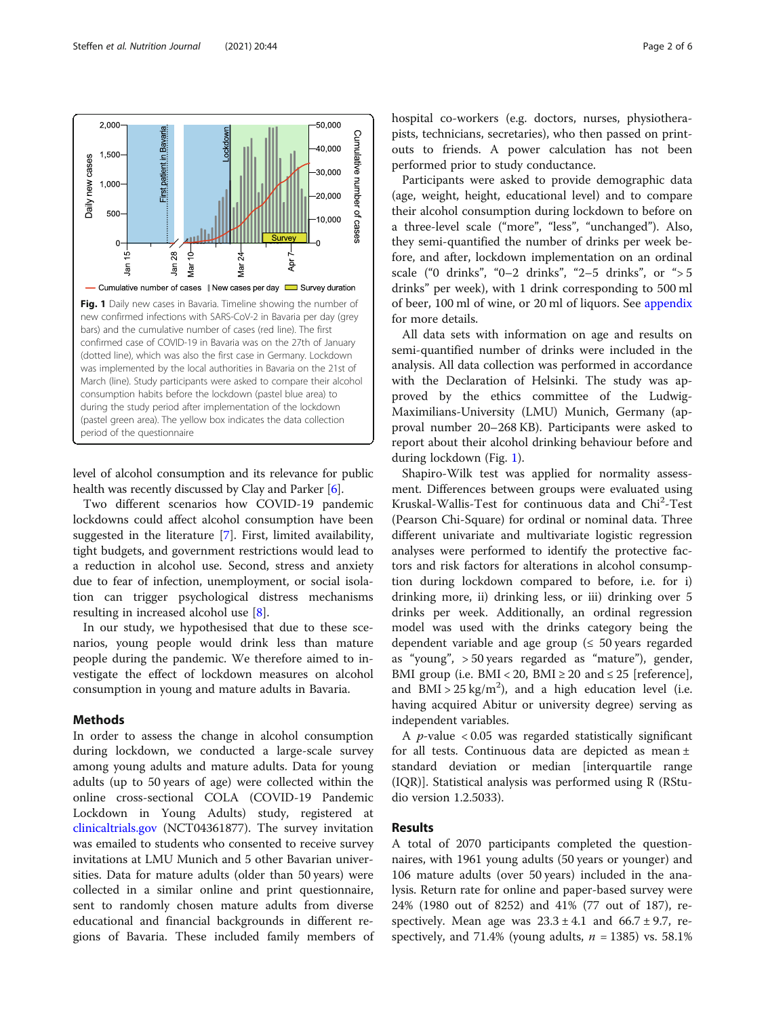

<span id="page-1-0"></span>

level of alcohol consumption and its relevance for public health was recently discussed by Clay and Parker [\[6](#page-5-0)].

Two different scenarios how COVID-19 pandemic lockdowns could affect alcohol consumption have been suggested in the literature [[7\]](#page-5-0). First, limited availability, tight budgets, and government restrictions would lead to a reduction in alcohol use. Second, stress and anxiety due to fear of infection, unemployment, or social isolation can trigger psychological distress mechanisms resulting in increased alcohol use [\[8](#page-5-0)].

In our study, we hypothesised that due to these scenarios, young people would drink less than mature people during the pandemic. We therefore aimed to investigate the effect of lockdown measures on alcohol consumption in young and mature adults in Bavaria.

# Methods

In order to assess the change in alcohol consumption during lockdown, we conducted a large-scale survey among young adults and mature adults. Data for young adults (up to 50 years of age) were collected within the online cross-sectional COLA (COVID-19 Pandemic Lockdown in Young Adults) study, registered at [clinicaltrials.gov](http://clinicaltrials.gov) (NCT04361877). The survey invitation was emailed to students who consented to receive survey invitations at LMU Munich and 5 other Bavarian universities. Data for mature adults (older than 50 years) were collected in a similar online and print questionnaire, sent to randomly chosen mature adults from diverse educational and financial backgrounds in different regions of Bavaria. These included family members of hospital co-workers (e.g. doctors, nurses, physiotherapists, technicians, secretaries), who then passed on printouts to friends. A power calculation has not been performed prior to study conductance.

Participants were asked to provide demographic data (age, weight, height, educational level) and to compare their alcohol consumption during lockdown to before on a three-level scale ("more", "less", "unchanged"). Also, they semi-quantified the number of drinks per week before, and after, lockdown implementation on an ordinal scale ("0 drinks", "0–2 drinks", "2–5 drinks", or "> 5 drinks" per week), with 1 drink corresponding to 500 ml of beer, 100 ml of wine, or 20 ml of liquors. See [appendix](#page-5-0) for more details.

All data sets with information on age and results on semi-quantified number of drinks were included in the analysis. All data collection was performed in accordance with the Declaration of Helsinki. The study was approved by the ethics committee of the Ludwig-Maximilians-University (LMU) Munich, Germany (approval number 20–268 KB). Participants were asked to report about their alcohol drinking behaviour before and during lockdown (Fig. 1).

Shapiro-Wilk test was applied for normality assessment. Differences between groups were evaluated using Kruskal-Wallis-Test for continuous data and Chi<sup>2</sup>-Test (Pearson Chi-Square) for ordinal or nominal data. Three different univariate and multivariate logistic regression analyses were performed to identify the protective factors and risk factors for alterations in alcohol consumption during lockdown compared to before, i.e. for i) drinking more, ii) drinking less, or iii) drinking over 5 drinks per week. Additionally, an ordinal regression model was used with the drinks category being the dependent variable and age group ( $\leq 50$  years regarded as "young", > 50 years regarded as "mature"), gender, BMI group (i.e. BMI < 20, BMI  $\geq$  20 and  $\leq$  25 [reference], and  $BMI > 25 \text{ kg/m}^2$ ), and a high education level (i.e. having acquired Abitur or university degree) serving as independent variables.

A  $p$ -value < 0.05 was regarded statistically significant for all tests. Continuous data are depicted as mean ± standard deviation or median [interquartile range (IQR)]. Statistical analysis was performed using R (RStudio version 1.2.5033).

# Results

A total of 2070 participants completed the questionnaires, with 1961 young adults (50 years or younger) and 106 mature adults (over 50 years) included in the analysis. Return rate for online and paper-based survey were 24% (1980 out of 8252) and 41% (77 out of 187), respectively. Mean age was  $23.3 \pm 4.1$  and  $66.7 \pm 9.7$ , respectively, and 71.4% (young adults,  $n = 1385$ ) vs. 58.1%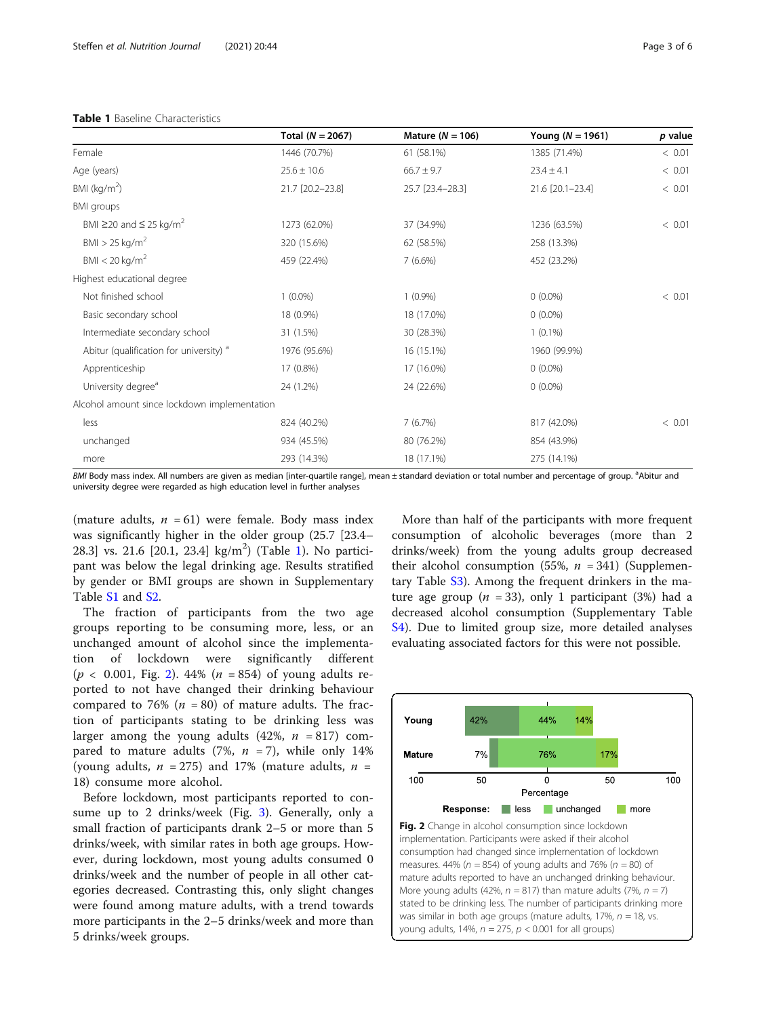# Table 1 Baseline Characteristics

|                                                    | Total ( $N = 2067$ ) | Mature ( $N = 106$ ) | Young ( $N = 1961$ ) | p value |
|----------------------------------------------------|----------------------|----------------------|----------------------|---------|
| Female                                             | 1446 (70.7%)         | 61 (58.1%)           | 1385 (71.4%)         | < 0.01  |
| Age (years)                                        | $25.6 \pm 10.6$      | $66.7 \pm 9.7$       | $23.4 \pm 4.1$       | < 0.01  |
| BMI ( $kg/m2$ )                                    | 21.7 [20.2-23.8]     | 25.7 [23.4-28.3]     | 21.6 [20.1-23.4]     | < 0.01  |
| BMI groups                                         |                      |                      |                      |         |
| BMI $\geq$ 20 and $\leq$ 25 kg/m <sup>2</sup>      | 1273 (62.0%)         | 37 (34.9%)           | 1236 (63.5%)         | < 0.01  |
| $BMI > 25$ kg/m <sup>2</sup>                       | 320 (15.6%)          | 62 (58.5%)           | 258 (13.3%)          |         |
| BMI < 20 kg/m <sup>2</sup>                         | 459 (22.4%)          | 7(6.6%)              | 452 (23.2%)          |         |
| Highest educational degree                         |                      |                      |                      |         |
| Not finished school                                | $1(0.0\%)$           | $1(0.9\%)$           | $0(0.0\%)$           | < 0.01  |
| Basic secondary school                             | 18 (0.9%)            | 18 (17.0%)           | $0(0.0\%)$           |         |
| Intermediate secondary school                      | 31 (1.5%)            | 30 (28.3%)           | $1(0.1\%)$           |         |
| Abitur (qualification for university) <sup>a</sup> | 1976 (95.6%)         | 16 (15.1%)           | 1960 (99.9%)         |         |
| Apprenticeship                                     | 17 (0.8%)            | 17 (16.0%)           | $0(0.0\%)$           |         |
| University degree <sup>a</sup>                     | 24 (1.2%)            | 24 (22.6%)           | $0(0.0\%)$           |         |
| Alcohol amount since lockdown implementation       |                      |                      |                      |         |
| less                                               | 824 (40.2%)          | 7(6.7%)              | 817 (42.0%)          | < 0.01  |
| unchanged                                          | 934 (45.5%)          | 80 (76.2%)           | 854 (43.9%)          |         |
| more                                               | 293 (14.3%)          | 18 (17.1%)           | 275 (14.1%)          |         |

BMI Body mass index. All numbers are given as median [inter-quartile range], mean ± standard deviation or total number and percentage of group. <sup>a</sup>Abitur and university degree were regarded as high education level in further analyses

(mature adults,  $n = 61$ ) were female. Body mass index was significantly higher in the older group (25.7 [23.4– 28.3] vs. 21.6 [20.1, 23.4] kg/m<sup>2</sup>) (Table 1). No participant was below the legal drinking age. Results stratified by gender or BMI groups are shown in Supplementary Table [S1](#page-5-0) and [S2](#page-5-0).

The fraction of participants from the two age groups reporting to be consuming more, less, or an unchanged amount of alcohol since the implementation of lockdown were significantly different  $(p < 0.001,$  Fig. 2). 44%  $(n = 854)$  of young adults reported to not have changed their drinking behaviour compared to 76% ( $n = 80$ ) of mature adults. The fraction of participants stating to be drinking less was larger among the young adults  $(42\%, n = 817)$  compared to mature adults (7%,  $n = 7$ ), while only 14% (young adults,  $n = 275$ ) and 17% (mature adults,  $n =$ 18) consume more alcohol.

Before lockdown, most participants reported to consume up to 2 drinks/week (Fig. [3](#page-3-0)). Generally, only a small fraction of participants drank 2–5 or more than 5 drinks/week, with similar rates in both age groups. However, during lockdown, most young adults consumed 0 drinks/week and the number of people in all other categories decreased. Contrasting this, only slight changes were found among mature adults, with a trend towards more participants in the 2–5 drinks/week and more than 5 drinks/week groups.

More than half of the participants with more frequent consumption of alcoholic beverages (more than 2 drinks/week) from the young adults group decreased their alcohol consumption (55%,  $n = 341$ ) (Supplementary Table [S3](#page-5-0)). Among the frequent drinkers in the mature age group ( $n = 33$ ), only 1 participant (3%) had a decreased alcohol consumption (Supplementary Table [S4\)](#page-5-0). Due to limited group size, more detailed analyses evaluating associated factors for this were not possible.

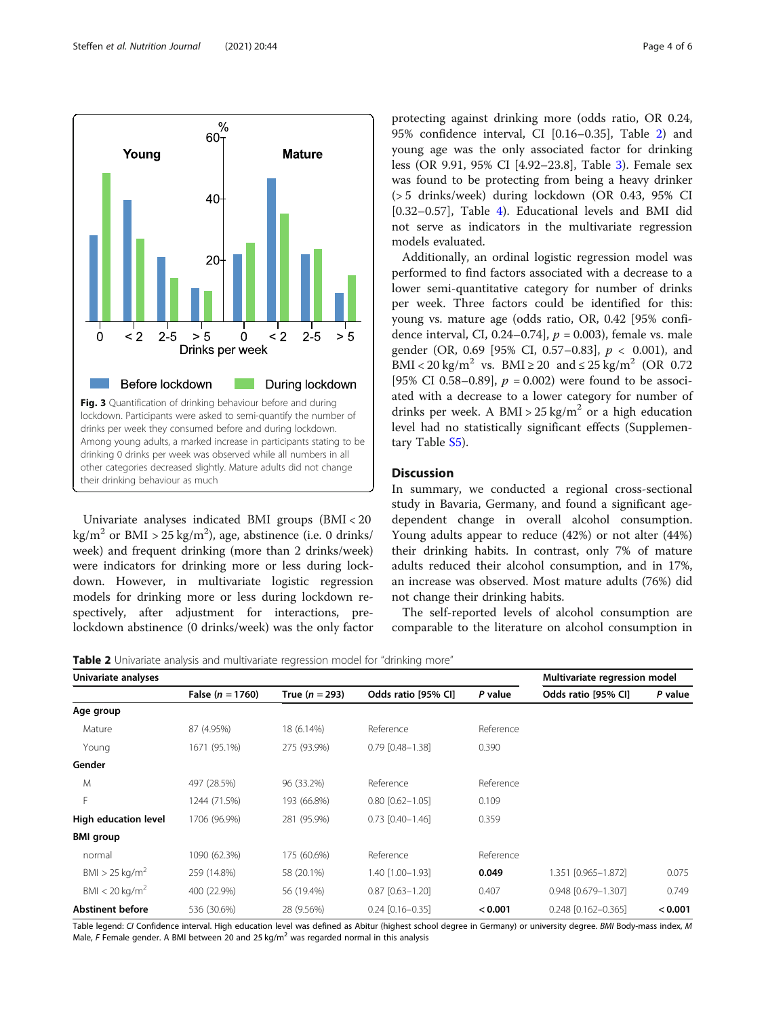<span id="page-3-0"></span>

Univariate analyses indicated BMI groups (BMI < 20  $\text{kg/m}^2$  or BMI > 25 kg/m<sup>2</sup>), age, abstinence (i.e. 0 drinks/ week) and frequent drinking (more than 2 drinks/week) were indicators for drinking more or less during lockdown. However, in multivariate logistic regression models for drinking more or less during lockdown respectively, after adjustment for interactions, prelockdown abstinence (0 drinks/week) was the only factor

protecting against drinking more (odds ratio, OR 0.24, 95% confidence interval, CI [0.16–0.35], Table 2) and young age was the only associated factor for drinking less (OR 9.91, 95% CI [4.92–23.8], Table [3\)](#page-4-0). Female sex was found to be protecting from being a heavy drinker (> 5 drinks/week) during lockdown (OR 0.43, 95% CI [0.32–0.57], Table [4](#page-4-0)). Educational levels and BMI did not serve as indicators in the multivariate regression models evaluated.

Additionally, an ordinal logistic regression model was performed to find factors associated with a decrease to a lower semi-quantitative category for number of drinks per week. Three factors could be identified for this: young vs. mature age (odds ratio, OR, 0.42 [95% confidence interval, CI, 0.24–0.74],  $p = 0.003$ ), female vs. male gender (OR, 0.69 [95% CI, 0.57-0.83],  $p < 0.001$ ), and BMI < 20 kg/m<sup>2</sup> vs. BMI  $\geq$  20 and  $\leq$  25 kg/m<sup>2</sup> (OR 0.72) [95% CI 0.58–0.89],  $p = 0.002$ ) were found to be associated with a decrease to a lower category for number of drinks per week. A BMI >  $25 \text{ kg/m}^2$  or a high education level had no statistically significant effects (Supplementary Table [S5](#page-5-0)).

# **Discussion**

In summary, we conducted a regional cross-sectional study in Bavaria, Germany, and found a significant agedependent change in overall alcohol consumption. Young adults appear to reduce (42%) or not alter (44%) their drinking habits. In contrast, only 7% of mature adults reduced their alcohol consumption, and in 17%, an increase was observed. Most mature adults (76%) did not change their drinking habits.

The self-reported levels of alcohol consumption are comparable to the literature on alcohol consumption in

Table 2 Univariate analysis and multivariate regression model for "drinking more"

| Univariate analyses          |                      |                  | Multivariate regression model |           |                     |         |
|------------------------------|----------------------|------------------|-------------------------------|-----------|---------------------|---------|
|                              | False ( $n = 1760$ ) | True $(n = 293)$ | Odds ratio [95% CI]           | P value   | Odds ratio [95% CI] | P value |
| Age group                    |                      |                  |                               |           |                     |         |
| Mature                       | 87 (4.95%)           | 18 (6.14%)       | Reference                     | Reference |                     |         |
| Young                        | 1671 (95.1%)         | 275 (93.9%)      | $0.79$ $[0.48 - 1.38]$        | 0.390     |                     |         |
| Gender                       |                      |                  |                               |           |                     |         |
| M                            | 497 (28.5%)          | 96 (33.2%)       | Reference                     | Reference |                     |         |
| F                            | 1244 (71.5%)         | 193 (66.8%)      | $0.80$ $[0.62 - 1.05]$        | 0.109     |                     |         |
| High education level         | 1706 (96.9%)         | 281 (95.9%)      | $0.73$ $[0.40 - 1.46]$        | 0.359     |                     |         |
| <b>BMI</b> group             |                      |                  |                               |           |                     |         |
| normal                       | 1090 (62.3%)         | 175 (60.6%)      | Reference                     | Reference |                     |         |
| BMI > 25 kg/m <sup>2</sup>   | 259 (14.8%)          | 58 (20.1%)       | 1.40 [1.00-1.93]              | 0.049     | 1.351 [0.965-1.872] | 0.075   |
| BMI $<$ 20 kg/m <sup>2</sup> | 400 (22.9%)          | 56 (19.4%)       | $0.87$ $[0.63 - 1.20]$        | 0.407     | 0.948 [0.679-1.307] | 0.749   |
| <b>Abstinent before</b>      | 536 (30.6%)          | 28 (9.56%)       | $0.24$ $[0.16 - 0.35]$        | < 0.001   | 0.248 [0.162-0.365] | < 0.001 |

Table legend: CI Confidence interval. High education level was defined as Abitur (highest school degree in Germany) or university degree. BMI Body-mass index, M Male, F Female gender. A BMI between 20 and 25 kg/m<sup>2</sup> was regarded normal in this analysis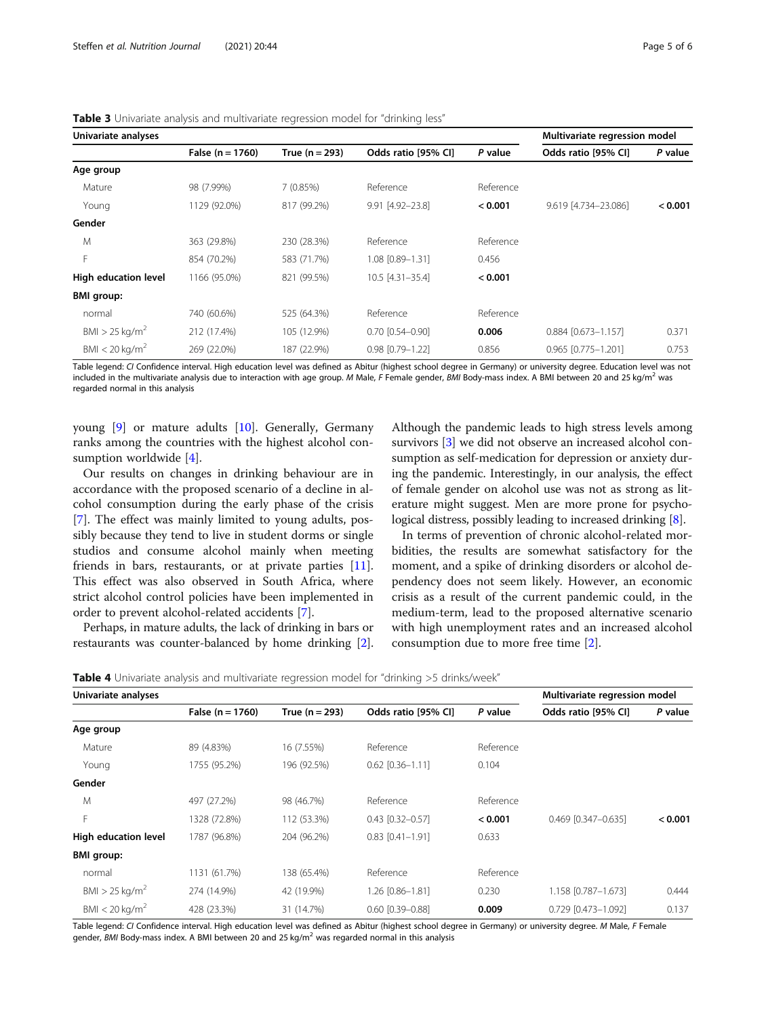| Univariate analyses          |                    |                  | Multivariate regression model |           |                       |         |
|------------------------------|--------------------|------------------|-------------------------------|-----------|-----------------------|---------|
|                              | False $(n = 1760)$ | True $(n = 293)$ | Odds ratio [95% CI]           | P value   | Odds ratio [95% CI]   | P value |
| Age group                    |                    |                  |                               |           |                       |         |
| Mature                       | 98 (7.99%)         | 7(0.85%)         | Reference                     | Reference |                       |         |
| Young                        | 1129 (92.0%)       | 817 (99.2%)      | 9.91 [4.92-23.8]              | < 0.001   | 9.619 [4.734-23.086]  | < 0.001 |
| Gender                       |                    |                  |                               |           |                       |         |
| M                            | 363 (29.8%)        | 230 (28.3%)      | Reference                     | Reference |                       |         |
| F                            | 854 (70.2%)        | 583 (71.7%)      | 1.08 [0.89-1.31]              | 0.456     |                       |         |
| High education level         | 1166 (95.0%)       | 821 (99.5%)      | 10.5 [4.31-35.4]              | < 0.001   |                       |         |
| <b>BMI</b> group:            |                    |                  |                               |           |                       |         |
| normal                       | 740 (60.6%)        | 525 (64.3%)      | Reference                     | Reference |                       |         |
| $BMI > 25$ kg/m <sup>2</sup> | 212 (17.4%)        | 105 (12.9%)      | $0.70$ $[0.54 - 0.90]$        | 0.006     | $0.884$ [0.673-1.157] | 0.371   |
| BMI $<$ 20 kg/m <sup>2</sup> | 269 (22.0%)        | 187 (22.9%)      | 0.98 [0.79-1.22]              | 0.856     | 0.965 [0.775-1.201]   | 0.753   |

<span id="page-4-0"></span>Table 3 Univariate analysis and multivariate regression model for "drinking less"

Table legend: CI Confidence interval. High education level was defined as Abitur (highest school degree in Germany) or university degree. Education level was not included in the multivariate analysis due to interaction with age group. M Male, F Female gender, BMI Body-mass index. A BMI between 20 and 25 kg/m<sup>2</sup> was regarded normal in this analysis

young [\[9](#page-5-0)] or mature adults [[10](#page-5-0)]. Generally, Germany ranks among the countries with the highest alcohol consumption worldwide [[4\]](#page-5-0).

Our results on changes in drinking behaviour are in accordance with the proposed scenario of a decline in alcohol consumption during the early phase of the crisis [[7\]](#page-5-0). The effect was mainly limited to young adults, possibly because they tend to live in student dorms or single studios and consume alcohol mainly when meeting friends in bars, restaurants, or at private parties [\[11](#page-5-0)]. This effect was also observed in South Africa, where strict alcohol control policies have been implemented in order to prevent alcohol-related accidents [\[7](#page-5-0)].

Perhaps, in mature adults, the lack of drinking in bars or restaurants was counter-balanced by home drinking [[2](#page-5-0)].

Although the pandemic leads to high stress levels among survivors [[3](#page-5-0)] we did not observe an increased alcohol consumption as self-medication for depression or anxiety during the pandemic. Interestingly, in our analysis, the effect of female gender on alcohol use was not as strong as literature might suggest. Men are more prone for psycho-logical distress, possibly leading to increased drinking [\[8](#page-5-0)].

In terms of prevention of chronic alcohol-related morbidities, the results are somewhat satisfactory for the moment, and a spike of drinking disorders or alcohol dependency does not seem likely. However, an economic crisis as a result of the current pandemic could, in the medium-term, lead to the proposed alternative scenario with high unemployment rates and an increased alcohol consumption due to more free time [\[2](#page-5-0)].

|  |  |  |  | <b>Table 4</b> Univariate analysis and multivariate regression model for "drinking >5 drinks/week" |
|--|--|--|--|----------------------------------------------------------------------------------------------------|
|--|--|--|--|----------------------------------------------------------------------------------------------------|

| Univariate analyses          |                    |                  |                        | Multivariate regression model |                     |         |
|------------------------------|--------------------|------------------|------------------------|-------------------------------|---------------------|---------|
|                              | False $(n = 1760)$ | True $(n = 293)$ | Odds ratio [95% CI]    | P value                       | Odds ratio [95% CI] | P value |
| Age group                    |                    |                  |                        |                               |                     |         |
| Mature                       | 89 (4.83%)         | 16 (7.55%)       | Reference              | Reference                     |                     |         |
| Young                        | 1755 (95.2%)       | 196 (92.5%)      | $0.62$ $[0.36 - 1.11]$ | 0.104                         |                     |         |
| Gender                       |                    |                  |                        |                               |                     |         |
| M                            | 497 (27.2%)        | 98 (46.7%)       | Reference              | Reference                     |                     |         |
| F                            | 1328 (72.8%)       | 112 (53.3%)      | $0.43$ $[0.32 - 0.57]$ | < 0.001                       | 0.469 [0.347-0.635] | < 0.001 |
| High education level         | 1787 (96.8%)       | 204 (96.2%)      | $0.83$ $[0.41 - 1.91]$ | 0.633                         |                     |         |
| <b>BMI</b> group:            |                    |                  |                        |                               |                     |         |
| normal                       | 1131 (61.7%)       | 138 (65.4%)      | Reference              | Reference                     |                     |         |
| $BMI > 25$ kg/m <sup>2</sup> | 274 (14.9%)        | 42 (19.9%)       | 1.26 [0.86-1.81]       | 0.230                         | 1.158 [0.787-1.673] | 0.444   |
| BMI < 20 kg/m <sup>2</sup>   | 428 (23.3%)        | 31 (14.7%)       | $0.60$ $[0.39 - 0.88]$ | 0.009                         | 0.729 [0.473-1.092] | 0.137   |

Table legend: CI Confidence interval. High education level was defined as Abitur (highest school degree in Germany) or university degree. M Male, F Female gender, BMI Body-mass index. A BMI between 20 and 25 kg/ $m^2$  was regarded normal in this analysis